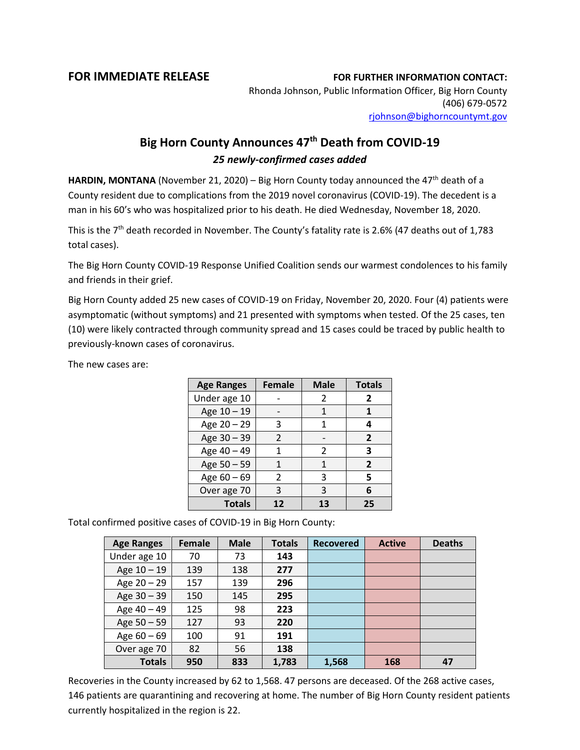## **FOR IMMEDIATE RELEASE FOR FURTHER INFORMATION CONTACT:**

Rhonda Johnson, Public Information Officer, Big Horn County (406) 679-0572 [rjohnson@bighorncountymt.gov](mailto:rjohnson@bighorncountymt.gov)

## **Big Horn County Announces 47th Death from COVID-19** *25 newly-confirmed cases added*

**HARDIN, MONTANA** (November 21, 2020) – Big Horn County today announced the  $47<sup>th</sup>$  death of a County resident due to complications from the 2019 novel coronavirus (COVID-19). The decedent is a man in his 60's who was hospitalized prior to his death. He died Wednesday, November 18, 2020.

This is the 7<sup>th</sup> death recorded in November. The County's fatality rate is 2.6% (47 deaths out of 1,783 total cases).

The Big Horn County COVID-19 Response Unified Coalition sends our warmest condolences to his family and friends in their grief.

Big Horn County added 25 new cases of COVID-19 on Friday, November 20, 2020. Four (4) patients were asymptomatic (without symptoms) and 21 presented with symptoms when tested. Of the 25 cases, ten (10) were likely contracted through community spread and 15 cases could be traced by public health to previously-known cases of coronavirus.

The new cases are:

| <b>Age Ranges</b> | <b>Female</b> | <b>Male</b> | <b>Totals</b>  |
|-------------------|---------------|-------------|----------------|
| Under age 10      |               | 2           | 2              |
| Age 10 - 19       |               | 1           |                |
| Age 20 - 29       | 3             | 1           | Δ              |
| Age 30 - 39       | $\mathcal{P}$ |             | $\overline{2}$ |
| Age 40 - 49       |               | 2           | 3              |
| Age 50 - 59       | 1             | 1           | $\mathbf{z}$   |
| Age $60 - 69$     | 2             | 3           | 5              |
| Over age 70       | 3             | 3           | 6              |
| <b>Totals</b>     | 12            | 13          | 25             |

Total confirmed positive cases of COVID-19 in Big Horn County:

| <b>Age Ranges</b> | <b>Female</b> | <b>Male</b> | <b>Totals</b> | <b>Recovered</b> | <b>Active</b> | <b>Deaths</b> |
|-------------------|---------------|-------------|---------------|------------------|---------------|---------------|
| Under age 10      | 70            | 73          | 143           |                  |               |               |
| Age 10 - 19       | 139           | 138         | 277           |                  |               |               |
| Age 20 - 29       | 157           | 139         | 296           |                  |               |               |
| Age 30 - 39       | 150           | 145         | 295           |                  |               |               |
| Age 40 - 49       | 125           | 98          | 223           |                  |               |               |
| Age 50 - 59       | 127           | 93          | 220           |                  |               |               |
| Age $60 - 69$     | 100           | 91          | 191           |                  |               |               |
| Over age 70       | 82            | 56          | 138           |                  |               |               |
| <b>Totals</b>     | 950           | 833         | 1,783         | 1,568            | 168           | 47            |

Recoveries in the County increased by 62 to 1,568. 47 persons are deceased. Of the 268 active cases, 146 patients are quarantining and recovering at home. The number of Big Horn County resident patients currently hospitalized in the region is 22.